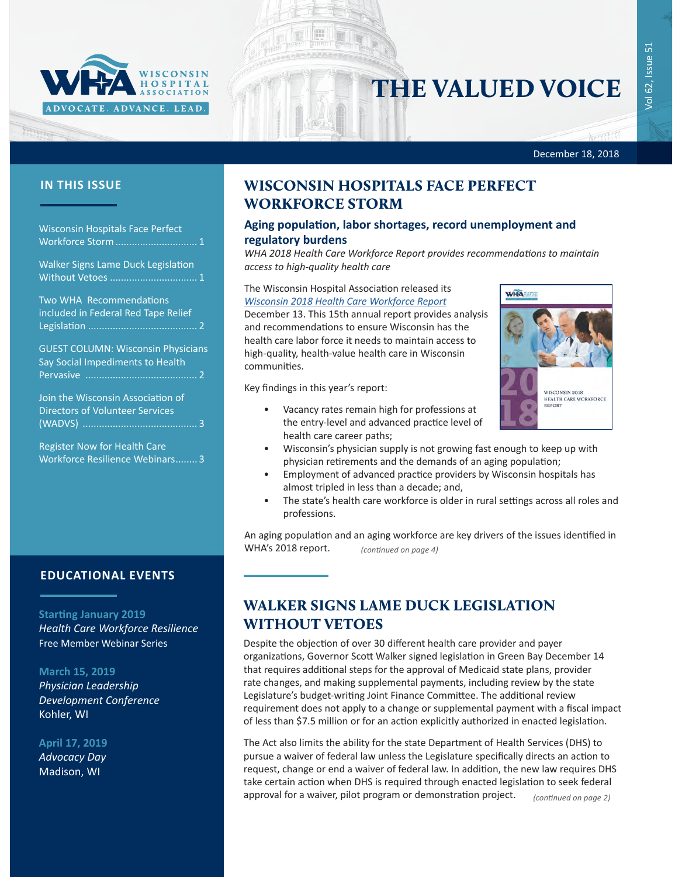

# THE VALUED VOICE

Vol 62, Issue 51

 $\overline{Q}$ 

62, Issue

51

#### December 18, 2018

Francis

Wisconsin Hospitals Face Perfect Workforce Storm.............................. 1

Walker Signs Lame Duck Legislation Without Vetoes ................................ 1

[Two WHA Recommendations](#page-1-0) [included in Federal Red Tape Relief](#page-1-0) Legislation [........................................](#page-1-0) 2

[GUEST COLUMN: Wisconsin Physicians](#page-1-0)  [Say Social Impediments to Health](#page-1-0)  [Pervasive .........................................](#page-1-0) 2

[Join the Wisconsin Association of](#page-2-0)  [Directors of Volunteer Services](#page-2-0)  (WADVS) [..........................................](#page-2-0) 3

Register Now for Health Care Workforce Resilience Webinars........ 3

### **EDUCATIONAL EVENTS**

#### **Starting January 2019**

*[Health Care Workforce Resilience](http://www.whareg4.org/WorkforceResilience/)* Free Member Webinar Series

#### **March 15, 2019**

*[Physician Leadership](http://www.cvent.com/events/19l-pldc-03-15-16/event-summary-cce6c95196974bcc87660b15b6e87c43.aspx)  [Development Conference](http://www.cvent.com/events/19l-pldc-03-15-16/event-summary-cce6c95196974bcc87660b15b6e87c43.aspx)* Kohler, WI

#### **April 17, 2019**

*Advocacy Day* Madison, WI

# **IN THIS ISSUE WISCONSIN HOSPITALS FACE PERFECT** WORKFORCE STORM

#### **Aging population, labor shortages, record unemployment and regulatory burdens**

*WHA 2018 Health Care Workforce Report provides recommendations to maintain access to high-quality health care*

#### The Wisconsin Hospital Association released its *[Wisconsin 2018 Health Care Workforce Report](https://www.wha.org/WisconsinHospitalAssociation/media/WHA-Reports/2018_Workforce_Report.pdf)*

December 13. This 15th annual report provides analysis and recommendations to ensure Wisconsin has the health care labor force it needs to maintain access to high-quality, health-value health care in Wisconsin communities.

Key findings in this year's report:

- Vacancy rates remain high for professions at the entry-level and advanced practice level of health care career paths;
	- Wisconsin's physician supply is not growing fast enough to keep up with physician retirements and the demands of an aging population;
- Employment of advanced practice providers by Wisconsin hospitals has almost tripled in less than a decade; and,
- The state's health care workforce is older in rural settings across all roles and professions.

An aging population and an aging workforce are key drivers of the issues identified in WHA's 2018 report. *(continued on page 4)*

## WALKER SIGNS LAME DUCK LEGISLATION WITHOUT VETOES

Despite the objection of over 30 different health care provider and payer organizations, Governor Scott Walker signed legislation in Green Bay December 14 that requires additional steps for the approval of Medicaid state plans, provider rate changes, and making supplemental payments, including review by the state Legislature's budget-writing Joint Finance Committee. The additional review requirement does not apply to a change or supplemental payment with a fiscal impact of less than \$7.5 million or for an action explicitly authorized in enacted legislation.

The Act also limits the ability for the state Department of Health Services (DHS) to pursue a waiver of federal law unless the Legislature specifically directs an action to request, change or end a waiver of federal law. In addition, the new law requires DHS take certain action when DHS is required through enacted legislation to seek federal approval for a waiver, pilot program or demonstration project. *(continued on page 2)*

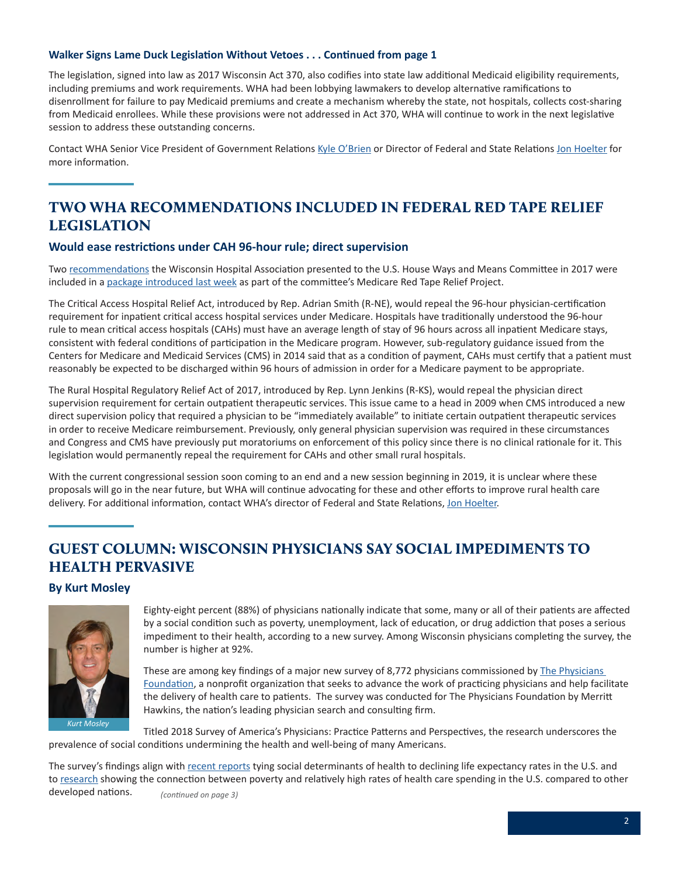#### <span id="page-1-0"></span>**Walker Signs Lame Duck Legislation Without Vetoes . . . Continued from page 1**

The legislation, signed into law as 2017 Wisconsin Act 370, also codifies into state law additional Medicaid eligibility requirements, including premiums and work requirements. WHA had been lobbying lawmakers to develop alternative ramifications to disenrollment for failure to pay Medicaid premiums and create a mechanism whereby the state, not hospitals, collects cost-sharing from Medicaid enrollees. While these provisions were not addressed in Act 370, WHA will continue to work in the next legislative session to address these outstanding concerns.

Contact WHA Senior Vice President of Government Relations [Kyle O'Brien](mailto:kobrien@wha.org) or Director of Federal and State Relations [Jon Hoelter](mailto:jhoelter@wha.org) for more information.

# TWO WHA RECOMMENDATIONS INCLUDED IN FEDERAL RED TAPE RELIEF LEGISLATION

#### **Would ease restrictions under CAH 96-hour rule; direct supervision**

Two [recommendations](https://www.wha.org/MediaRoom/WHANewsletter/2017/08-25-2017#s7) the Wisconsin Hospital Association presented to the U.S. House Ways and Means Committee in 2017 were included in a [package introduced last week](https://waysandmeans.house.gov/ways-and-means-gop-introduce-health-legislation-focus-on-rural-access-efficiency/) as part of the committee's Medicare Red Tape Relief Project.

The Critical Access Hospital Relief Act, introduced by Rep. Adrian Smith (R-NE), would repeal the 96-hour physician-certification requirement for inpatient critical access hospital services under Medicare. Hospitals have traditionally understood the 96-hour rule to mean critical access hospitals (CAHs) must have an average length of stay of 96 hours across all inpatient Medicare stays, consistent with federal conditions of participation in the Medicare program. However, sub-regulatory guidance issued from the Centers for Medicare and Medicaid Services (CMS) in 2014 said that as a condition of payment, CAHs must certify that a patient must reasonably be expected to be discharged within 96 hours of admission in order for a Medicare payment to be appropriate.

The Rural Hospital Regulatory Relief Act of 2017, introduced by Rep. Lynn Jenkins (R-KS), would repeal the physician direct supervision requirement for certain outpatient therapeutic services. This issue came to a head in 2009 when CMS introduced a new direct supervision policy that required a physician to be "immediately available" to initiate certain outpatient therapeutic services in order to receive Medicare reimbursement. Previously, only general physician supervision was required in these circumstances and Congress and CMS have previously put moratoriums on enforcement of this policy since there is no clinical rationale for it. This legislation would permanently repeal the requirement for CAHs and other small rural hospitals.

With the current congressional session soon coming to an end and a new session beginning in 2019, it is unclear where these proposals will go in the near future, but WHA will continue advocating for these and other efforts to improve rural health care delivery. For additional information, contact WHA's director of Federal and State Relations, [Jon Hoelter.](mailto:jhoelter@wha.org)

# GUEST COLUMN: WISCONSIN PHYSICIANS SAY SOCIAL IMPEDIMENTS TO HEALTH PERVASIVE

#### **By Kurt Mosley**



Eighty-eight percent (88%) of physicians nationally indicate that some, many or all of their patients are affected by a social condition such as poverty, unemployment, lack of education, or drug addiction that poses a serious impediment to their health, according to a new survey. Among Wisconsin physicians completing the survey, the number is higher at 92%.

These are among key findings of a major new survey of 8,772 physicians commissioned by The Physicians [Foundation,](https://physiciansfoundation.org/) a nonprofit organization that seeks to advance the work of practicing physicians and help facilitate the delivery of health care to patients. The survey was conducted for The Physicians Foundation by Merritt Hawkins, the nation's leading physician search and consulting firm.

Titled 2018 Survey of America's Physicians: Practice Patterns and Perspectives, the research underscores the prevalence of social conditions undermining the health and well-being of many Americans.

The survey's findings align with [recent reports](https://www.washingtonpost.com/national/health-science/fueled-by-drug-crisis-us-life-expectancy-declines-for-a-second-straight-year/2017/12/20/2e3f8dea-e596-11e7-ab50-621fe0588340_story.html?noredirect=on&utm_term=.bd61832ea133) tying social determinants of health to declining life expectancy rates in the U.S. and to [research](https://www.healthaffairs.org/doi/full/10.1377/hlthaff.2016.1555) showing the connection between poverty and relatively high rates of health care spending in the U.S. compared to other developed nations. *(continued on page 3)*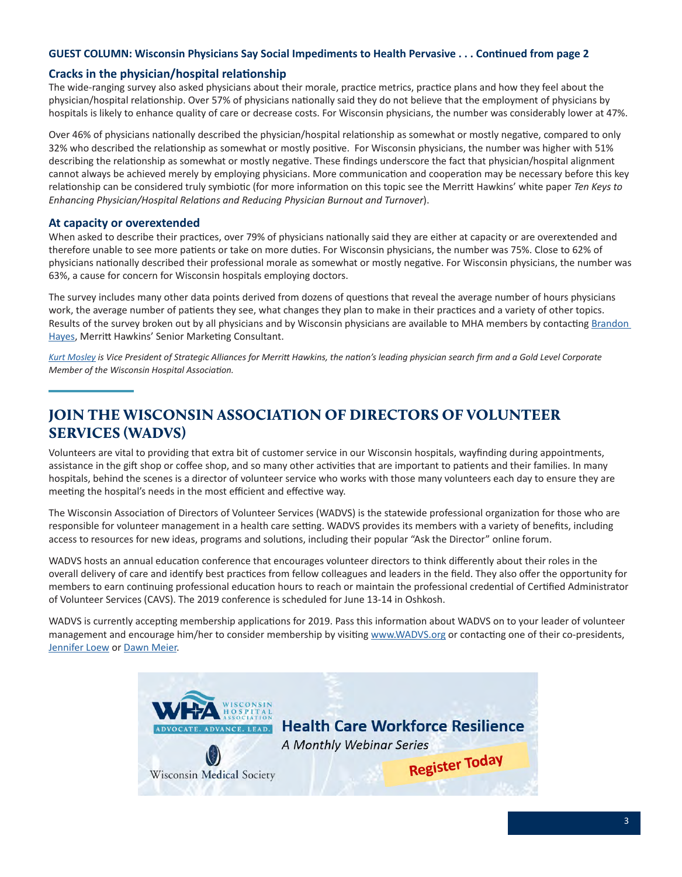#### <span id="page-2-0"></span>**GUEST COLUMN: Wisconsin Physicians Say Social Impediments to Health Pervasive . . . Continued from page 2**

#### **Cracks in the physician/hospital relationship**

The wide-ranging survey also asked physicians about their morale, practice metrics, practice plans and how they feel about the physician/hospital relationship. Over 57% of physicians nationally said they do not believe that the employment of physicians by hospitals is likely to enhance quality of care or decrease costs. For Wisconsin physicians, the number was considerably lower at 47%.

Over 46% of physicians nationally described the physician/hospital relationship as somewhat or mostly negative, compared to only 32% who described the relationship as somewhat or mostly positive. For Wisconsin physicians, the number was higher with 51% describing the relationship as somewhat or mostly negative. These findings underscore the fact that physician/hospital alignment cannot always be achieved merely by employing physicians. More communication and cooperation may be necessary before this key relationship can be considered truly symbiotic (for more information on this topic see the Merritt Hawkins' white paper *Ten Keys to Enhancing Physician/Hospital Relations and Reducing Physician Burnout and Turnover*).

#### **At capacity or overextended**

When asked to describe their practices, over 79% of physicians nationally said they are either at capacity or are overextended and therefore unable to see more patients or take on more duties. For Wisconsin physicians, the number was 75%. Close to 62% of physicians nationally described their professional morale as somewhat or mostly negative. For Wisconsin physicians, the number was 63%, a cause for concern for Wisconsin hospitals employing doctors.

The survey includes many other data points derived from dozens of questions that reveal the average number of hours physicians work, the average number of patients they see, what changes they plan to make in their practices and a variety of other topics. Results of the survey broken out by all physicians and by Wisconsin physicians are available to MHA members by contacting **Brandon** [Hayes](mailto:Brandon.Hayes@merritthawkins.com), Merritt Hawkins' Senior Marketing Consultant.

*[Kurt Mosley](mailto:kurt.mosley@amnhealthcare.com) is Vice President of Strategic Alliances for Merritt Hawkins, the nation's leading physician search firm and a Gold Level Corporate Member of the Wisconsin Hospital Association.* 

# JOIN THE WISCONSIN ASSOCIATION OF DIRECTORS OF VOLUNTEER SERVICES (WADVS)

Volunteers are vital to providing that extra bit of customer service in our Wisconsin hospitals, wayfinding during appointments, assistance in the gift shop or coffee shop, and so many other activities that are important to patients and their families. In many hospitals, behind the scenes is a director of volunteer service who works with those many volunteers each day to ensure they are meeting the hospital's needs in the most efficient and effective way.

The Wisconsin Association of Directors of Volunteer Services (WADVS) is the statewide professional organization for those who are responsible for volunteer management in a health care setting. WADVS provides its members with a variety of benefits, including access to resources for new ideas, programs and solutions, including their popular "Ask the Director" online forum.

WADVS hosts an annual education conference that encourages volunteer directors to think differently about their roles in the overall delivery of care and identify best practices from fellow colleagues and leaders in the field. They also offer the opportunity for members to earn continuing professional education hours to reach or maintain the professional credential of Certified Administrator of Volunteer Services (CAVS). The 2019 conference is scheduled for June 13-14 in Oshkosh.

WADVS is currently accepting membership applications for 2019. Pass this information about WADVS on to your leader of volunteer management and encourage him/her to consider membership by visiting [www.WADVS.org](http://www.wadvs.org/) or contacting one of their co-presidents, **[Jennifer Loew](mailto:loew.jennifer@mayo.edu) or [Dawn Meier](mailto:dawn.meier@ssmhealth.com).**